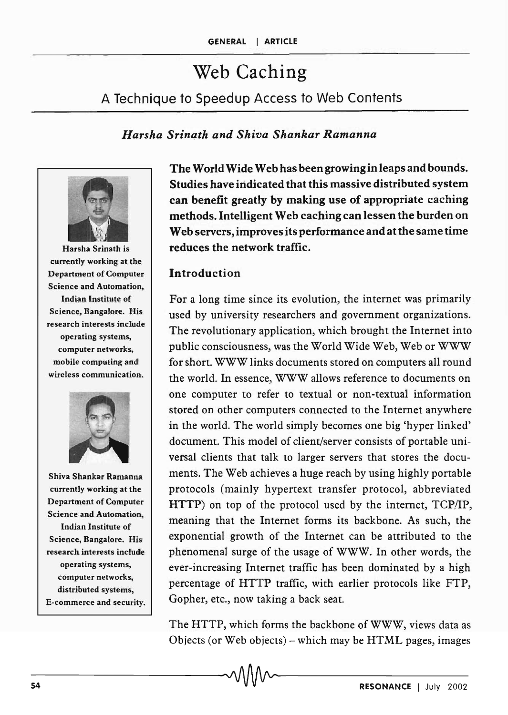# Web Caching

# A Technique to Speedup Access to Web Contents

#### *Harsha Srinath and Shiva Shankar Ramanna*



Harsha Srinath is currently working at the Department of Computer Science and Automation, Indian Institute of Science, Bangalore. His research interests include operating systems, computer networks, mobile computing and wireless communication.



Shiva Shankar Ramanna currently working at the Department of Computer Science and Automation, Indian Institute of Science, Bangalore. His research interests include operating systems, computer networks, distributed systems, E-commerce and security.

The World Wide Web has been growing in leaps and bounds. Studies have indicated that this massive distributed system can benefit greatly by making use of appropriate caching methods. Intelligent Web caching can lessen the burden on Web servers, improves its performance and at the same time reduces the network traffic.

#### Introduction

For a long time since its evolution, the internet was primarily used by university researchers and government organizations. The revolutionary application, which brought the Internet into public consciousness, was the World Wide Web, Web or WWW for short. WWW links documents stored on computers all round the world. In essence, WWW allows reference to documents on one computer to refer to textual or non-textual information stored on other computers connected to the Internet anywhere in the world. The world simply becomes one big 'hyper linked' document. This model of client/server consists of portable universal clients that talk to larger servers that stores the documents. The Web achieves a huge reach by using highly portable protocols (mainly hypertext transfer protocol, abbreviated HTTP) on top of the protocol used by the internet, TCP/IP, meaning that the Internet forms its backbone. As such, the exponential growth of the Internet can be attributed to the phenomenal surge of the usage of WWW. In other words, the ever-increasing Internet traffic has been dominated by a high percentage of HTTP traffic, with earlier protocols like FTP, Gopher, etc., now taking a back seat.

The HTTP, which forms the backbone of WWW, views data as Objects (or Web objects) - which may be HTML pages, images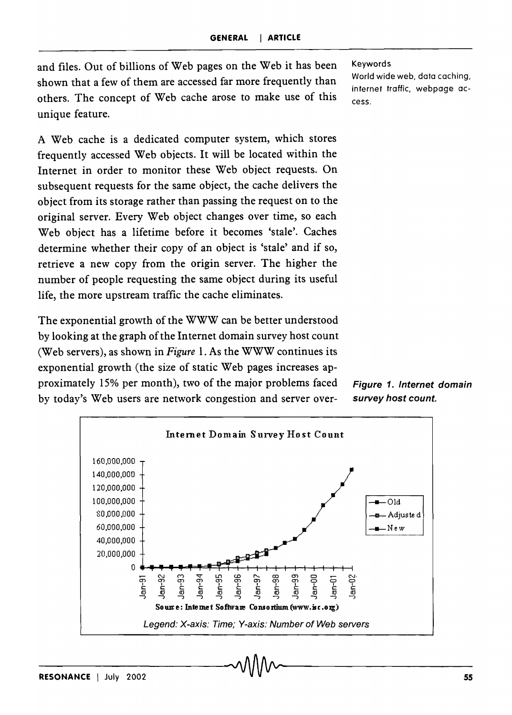and files. Out of billions of Web pages on the Web it has been shown that a few of them are accessed far more frequently than others. The concept of Web cache arose to make use of this unique feature.

A Web cache is a dedicated computer system, which stores frequently accessed Web objects. It will be located within the Internet in order to monitor these Web object requests. On subsequent requests for the same object, the cache delivers the object from its storage rather than passing the request on to the original server. Every Web object changes over time, so each Web object has a lifetime before it becomes 'stale'. Caches determine whether their copy of an object is 'stale' and if so, retrieve a new copy from the origin server. The higher the number of people requesting the same object during its useful life, the more upstream traffic the cache eliminates.

The exponential growth of the WWW can be better understood by looking at the graph of the Internet domain survey host count (Web servers), as shown in *Figure* 1. As the WWW continues its exponential growth (the size of static Web pages increases approximately 15% per month), two of the major problems faced Figure 1. Internet domain by today's Web users are network congestion and server over- survey host count.

Keywords World wide web, data caching, internet traffic, webpage access.



-R-ES-O-N-A-N--C--EI--JU-ly--2-0-0-2-------------~-------------------------------5-5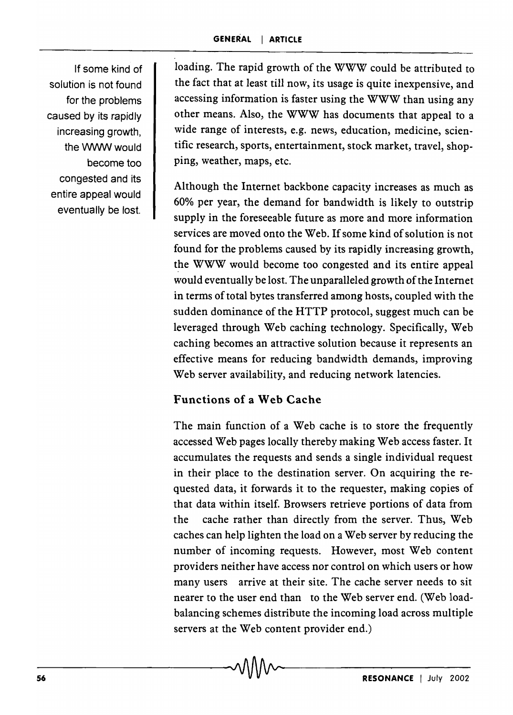If some kind of solution is not found for the problems caused by its rapidly increasing growth, the WWW would become too congested and its entire appeal would eventually be lost.

loading. The rapid growth of the WWW could be attributed to the fact that at least till now, its usage is quite inexpensive, and accessing information is faster using the WWW than using any other means. Also, the WWW has documents that appeal to a wide range of interests, e.g. news, education, medicine, scientific research, sports, entertainment, stock market, travel, shopping, weather, maps, etc.

Although the Internet backbone capacity increases as much as 60% per year, the demand for bandwidth is likely to outstrip supply in the foreseeable future as more and more information services are moved onto the Web. If some kind of solution is not found for the problems caused by its rapidly increasing growth, the WWW would become too congested and its entire appeal would eventually be lost. The unparalleled growth of the Internet in terms of total bytes transferred among hosts, coupled with the sudden dominance of the HTTP protocol, suggest much can be leveraged through Web caching technology. Specifically, Web caching becomes an attractive solution because it represents an effective means for reducing bandwidth demands, improving Web server availability, and reducing network latencies.

# **Functions of a Web Cache**

The main function of a Web cache is to store the frequently accessed Web pages locally thereby making Web access faster. It accumulates the requests and sends a single individual request in their place to the destination server. On acquiring the requested data, it forwards it to the requester, making copies of that data within itself. Browsers retrieve portions of data from the cache rather than directly from the server. Thus, Web caches can help lighten the load on a Web server by reducing the number of incoming requests. However, most Web content providers neither have access nor control on which users or how many users arrive at their site. The cache server needs to sit nearer to the user end than to the Web server end. (Web loadbalancing schemes distribute the incoming load across multiple servers at the Web content provider end.)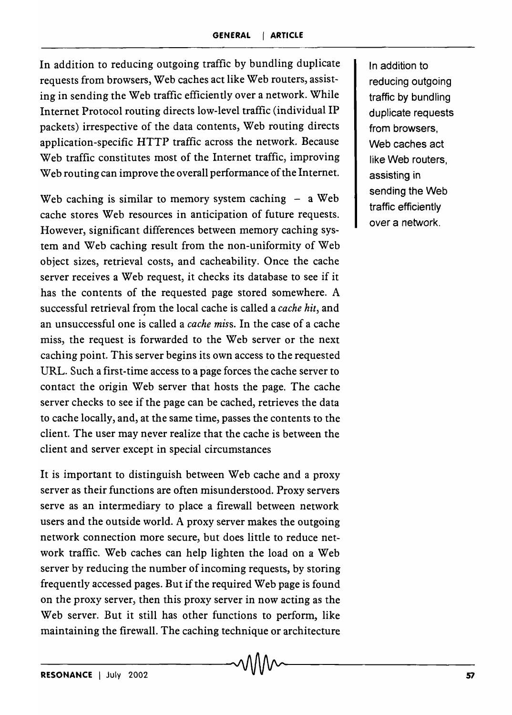In addition to reducing outgoing traffic by bundling duplicate requests from browsers, Web caches act like Web routers, assisting in sending the Web traffic efficiently over a network. While Internet Protocol routing directs low-level traffic (individual IP packets) irrespective of the data contents, Web routing directs application-specific HTTP traffic across the network. Because Web traffic constitutes most of the Internet traffic, improving Web routing can improve the overall performance of the Internet.

Web caching is similar to memory system caching  $-$  a Web cache stores Web resources in anticipation of future requests. However, significant differences between memory caching system and Web caching result from the non-uniformity of Web object sizes, retrieval costs, and cacheability. Once the cache server receives a Web request, it checks its database to see if it has the contents of the requested page stored somewhere. A successful retrieval from the local cache is called a *cache hit*, and an unsuccessful one is called a *cache miss.* In the case of a cache miss, the request is forwarded to the Web server or the next caching point. This server begins its own access to the requested URL. Such a first-time access to a page forces the cache server to contact the origin Web server that hosts the page. The cache server checks to see if the page can be cached, retrieves the data to cache locally, and, at the same time, passes the contents to the client. The user may never realize that the cache is between the client and server except in special circumstances

It is important to distinguish between Web cache and a proxy server as their functions are often misunderstood. Proxy servers serve as an intermediary to place a firewall between network users and the outside world. A proxy server makes the outgoing network connection more secure, but does little to reduce network traffic. Web caches can help lighten the load on a Web server by reducing the number of incoming requests, by storing frequently accessed pages. But if the required Web page is found on the proxy server, then this proxy server in now acting as the Web server. But it still has other functions to perform, like maintaining the firewall. The caching technique or architecture

In addition to reducing outgoing traffic by bundling duplicate requests from browsers, Web caches act like Web routers, assisting in sending the Web traffic efficiently over a network.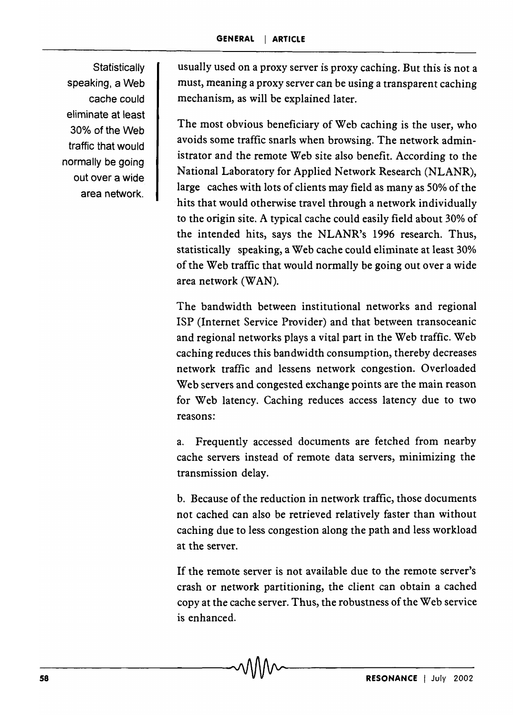**Statistically** speaking, a Web cache could eliminate at least 30% of the Web traffic that would normally be going out over a wide area network.

usually used on a proxy server is proxy caching. But this is not a must) meaning a proxy server can be using a transparent caching mechanism, as will be explained later.

The most obvious beneficiary of Web caching is the user, who avoids some traffic snarls when browsing. The network administrator and the remote Web site also benefit. According to the National Laboratory for Applied Network Research (NLANR), large caches with lots of clients may field as many as 50% of the hits that would otherwise travel through a network individually to the origin site. A typical cache could easily field about 30% of the intended hits, says the NLANR's 1996 research. Thus, statistically speaking, a Web cache could eliminate at least 30% of the Web traffic that would normally be going out over a wide area network (WAN).

The bandwidth between institutional networks and regional ISP (Internet Service Provider) and that between transoceanic and regional networks plays a vital part in the Web traffic. Web caching reduces this bandwidth consumption, thereby decreases network traffic and lessens network congestion. Overloaded Web servers and congested exchange points are the main reason for Web latency. Caching reduces access latency due to two reasons:

a. Frequently accessed documents are fetched from nearby cache servers instead of remote data servers, minimizing the transmission delay.

b. Because of the reduction in network traffic, those documents not cached can also be retrieved relatively faster than without caching due to less congestion along the path and less workload at the server.

If the remote server is not available due to the remote server's crash or network partitioning, the client can obtain a cached copy at the cache server. Thus, the robustness of the Web service is enhanced.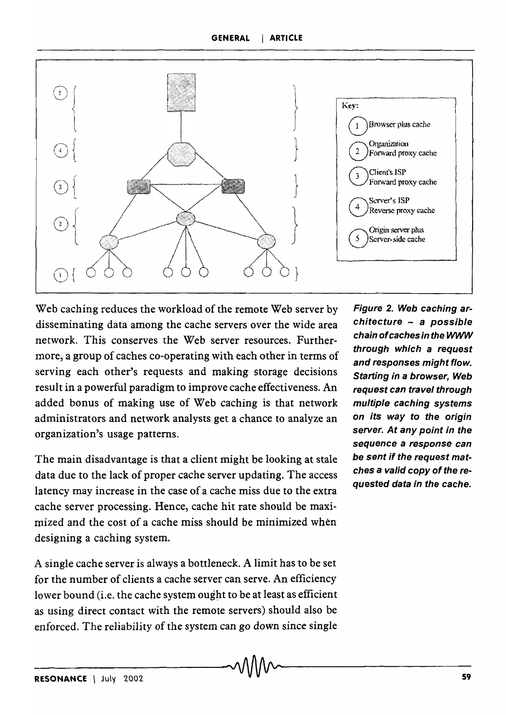

Web caching reduces the workload of the remote Web server by disseminating data among the cache servers over the wide area network. This conserves the Web server resources. Furthermore, a group of caches co-operating with each other in terms of serving each other's requests and making storage decisions result in a powerful paradigm to improve cache effectiveness. An added bonus of making use of Web caching is that network administrators and network analysts get a chance to analyze an organization's usage patterns.

The main disadvantage is that a client might be looking at stale data due to the lack of proper cache server updating. The access latency may increase in the case of a cache miss due to the extra cache server processing. Hence, cache hit rate should be maximized and the cost of a cache miss should be minimized when designing a caching system.

A single cache server is always a bottleneck. A limit has to be set for the number of clients a cache server can serve. An efficiency lower bound (i.e. the cache system ought to be at least as efficient as using direct contact with the remote servers) should also be enforced. The reliability of the system can go down since single

Figure 2. Web caching architecture - a possible chain of caches in the WWW through which a request and responses might flow. Starting in a browser, Web request can travel through multiple caching systems on its way to the origin server. At any point in the sequence a response can be sent if the request matches a valid copy of the requested data in the cache.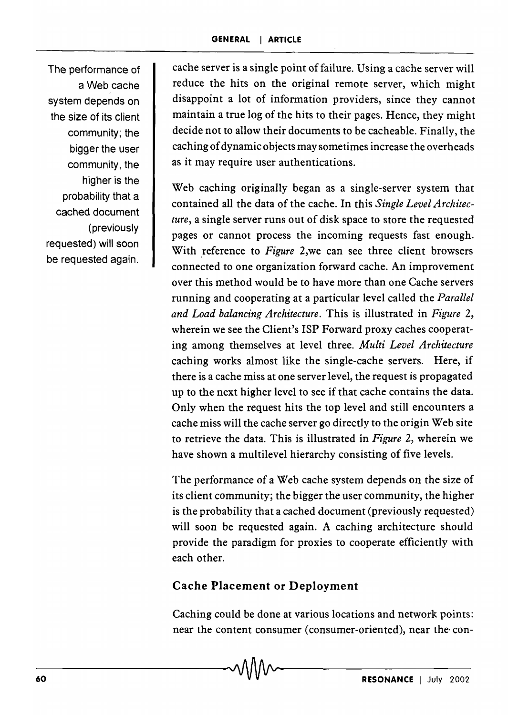The performance of a Web cache system depends on the size of its client community; the bigger the user community, the higher is the probability that a cached document (previously requested) will soon be requested again.

cache server is a single point of failure. Using a cache server will reduce the hits on the original remote server, which might disappoint a lot of information providers, since they cannot maintain a true log of the hits to their pages. Hence, they might decide not to allow their documents to be cacheable. Finally, the caching of dynamic objects may sometimes increase the overheads as it may require user authentications.

Web caching originally began as a single-server system that contained all the data of the cache. In this *Single Level Architecture,* a single server runs out of disk space to store the requested pages or cannot process the incoming requests fast enough. With reference to *Figure* 2, we can see three client browsers connected to one organization forward cache. An improvement over this method would be to have more than one Cache servers running and cooperating at a particular level called the *Parallel and Load balancing Architecture.* This is illustrated in *Figure 2,*  wherein we see the Client's ISP Forward proxy caches cooperating among themselves at level three. *Multi Level Architecture*  caching works almost like the single-cache servers. Here, if there is a cache miss at one server level, the request is propagated up to the next higher level to see if that cache contains the data. Only when the request hits the top level and still encounters a cache miss will the cache server go directly to the origin Web site to retrieve the data. This is illustrated in *Figure* 2, wherein we have shown a multilevel hierarchy consisting of five levels.

The performance of a Web cache system depends on the size of its client community; the bigger the user community, the higher is the probability that a cached document (previously requested) will soon be requested again. A caching architecture should provide the paradigm for proxies to cooperate efficiently with each other.

# Cache Placement or Deployment

Caching could be done at various locations and network points: near the content consumer (consumer-oriented), near the con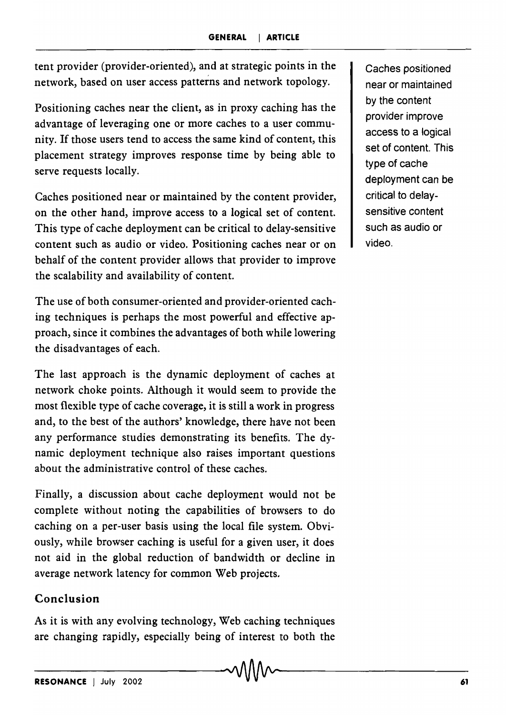tent provider (provider-oriented), and at strategic points in the network, based on user access patterns and network topology.

Positioning caches near the client, as in proxy caching has the advantage of leveraging one or more caches to a user community. If those users tend to access the same kind of content, this placement strategy improves response time by being able to serve requests locally.

Caches positioned near or maintained by the content provider, on the other hand, improve access to a logical set of content. This type of cache deployment can be critical to delay-sensitive content such as audio or video. Positioning caches near or on behalf of the content provider allows that provider to improve the scalability and availability of content.

The use of both consumer-oriented and provider-oriented caching techniques is perhaps the most powerful and effective approach, since it combines the advantages of both while lowering the disadvantages of each.

The last approach is the dynamic deployment of caches at network choke points. Although it would seem to provide the most flexible type of cache coverage, it is still a work in progress and, to the best of the authors' knowledge, there have not been any performance studies demonstrating its benefits. The dynamic deployment technique also raises important questions about the administrative control of these caches.

Finally, a discussion about cache deployment would not be complete without noting the capabilities of browsers to do caching on a per-user basis using the local file system. Obviously, while browser caching is useful for a given user, it does not aid in the global reduction of bandwidth or decline in average network latency for common Web projects.

# Conclusion

As it is with any evolving technology, Web caching techniques are changing rapidly, especially being of interest to both the Caches positioned near or maintained by the content provider improve access to a logical set of content. This type of cache deployment can be critical to delaysensitive content such as audio or video.